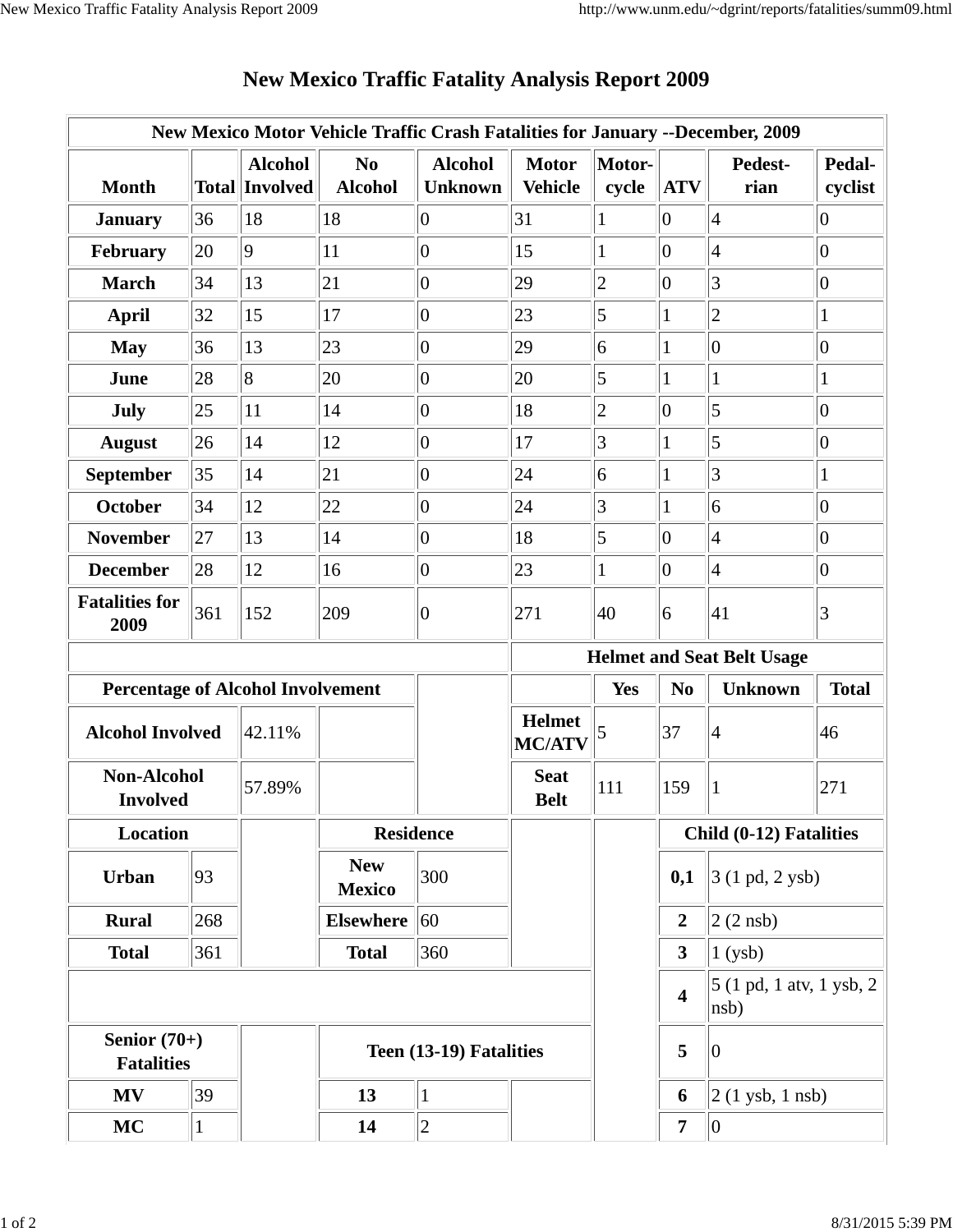| New Mexico Motor Vehicle Traffic Crash Fatalities for January --December, 2009 |              |                                         |                                   |                                  |                                |                 |                         |                                  |                   |  |
|--------------------------------------------------------------------------------|--------------|-----------------------------------------|-----------------------------------|----------------------------------|--------------------------------|-----------------|-------------------------|----------------------------------|-------------------|--|
| <b>Month</b>                                                                   |              | <b>Alcohol</b><br><b>Total Involved</b> | N <sub>0</sub><br><b>Alcohol</b>  | <b>Alcohol</b><br><b>Unknown</b> | <b>Motor</b><br><b>Vehicle</b> | Motor-<br>cycle | <b>ATV</b>              | Pedest-<br>rian                  | Pedal-<br>cyclist |  |
| <b>January</b>                                                                 | 36           | 18                                      | 18                                | $\overline{0}$                   | 31                             |                 | $ 0\rangle$             | $\overline{4}$                   | $ 0\rangle$       |  |
| February                                                                       | 20           | $ 9\rangle$                             | 11                                | $ 0\rangle$                      | 15                             | 1               | $ 0\rangle$             | $\overline{4}$                   | $ 0\rangle$       |  |
| <b>March</b>                                                                   | 34           | 13                                      | 21                                | $ 0\rangle$                      | 29                             | $\overline{2}$  | $ 0\rangle$             | 3                                | $\overline{0}$    |  |
| <b>April</b>                                                                   | 32           | 15                                      | 17                                | $ 0\rangle$                      | 23                             | $\vert 5 \vert$ | 1                       | $\overline{c}$                   | 1                 |  |
| <b>May</b>                                                                     | 36           | 13                                      | 23                                | $ 0\rangle$                      | 29                             | 6               |                         | $\overline{0}$                   | $ 0\rangle$       |  |
| June                                                                           | 28           | 8                                       | 20                                | $ 0\rangle$                      | 20                             | $\overline{5}$  | 1                       | 1                                | 1                 |  |
| <b>July</b>                                                                    | 25           | 11                                      | 14                                | $\overline{0}$                   | 18                             | $ 2\rangle$     | $ 0\rangle$             | 5                                | $ 0\rangle$       |  |
| <b>August</b>                                                                  | 26           | 14                                      | 12                                | 0                                | 17                             | 3               | 1                       | 5                                | $ 0\rangle$       |  |
| September                                                                      | 35           | 14                                      | 21                                | $ 0\rangle$                      | 24                             | 6               | 1                       | 3                                | 1                 |  |
| <b>October</b>                                                                 | 34           | 12                                      | 22                                | $ 0\rangle$                      | 24                             | 3               |                         | $\overline{6}$                   | $\overline{0}$    |  |
| <b>November</b>                                                                | 27           | 13                                      | 14                                | $ 0\rangle$                      | 18                             | $\vert 5 \vert$ | $ 0\rangle$             | 4                                | $ 0\rangle$       |  |
| <b>December</b>                                                                | 28           | 12                                      | 16                                | $ 0\rangle$                      | 23                             | $\mathbf{1}$    | 0                       | $\overline{4}$                   | 0                 |  |
| <b>Fatalities for</b><br>2009                                                  | 361          | 152                                     | 209                               | $ 0\rangle$                      | 271                            | 40              | 6                       | 41                               | $\vert 3 \vert$   |  |
|                                                                                |              |                                         | <b>Helmet and Seat Belt Usage</b> |                                  |                                |                 |                         |                                  |                   |  |
| <b>Percentage of Alcohol Involvement</b>                                       |              |                                         |                                   |                                  |                                | <b>Yes</b>      | N <sub>0</sub>          | <b>Unknown</b>                   | <b>Total</b>      |  |
| <b>Alcohol Involved</b>                                                        |              | 42.11%                                  |                                   |                                  | <b>Helmet</b><br><b>MC/ATV</b> | 5               | 37                      | 4                                | 46                |  |
| <b>Non-Alcohol</b><br><b>Involved</b>                                          |              | 57.89%                                  |                                   |                                  | <b>Seat</b><br><b>Belt</b>     | 111             | 159                     |                                  | 271               |  |
| <b>Location</b>                                                                |              |                                         | <b>Residence</b>                  |                                  |                                |                 | Child (0-12) Fatalities |                                  |                   |  |
| <b>Urban</b>                                                                   | 93           |                                         | <b>New</b><br><b>Mexico</b>       | 300                              |                                |                 | 0,1                     | 3 (1 pd, 2 ysb)                  |                   |  |
| <b>Rural</b>                                                                   | 268          |                                         | <b>Elsewhere</b>                  | $ 60\rangle$                     |                                |                 | $\overline{2}$          | $ 2(2 \text{ nsb}) $             |                   |  |
| <b>Total</b>                                                                   | 361          |                                         | <b>Total</b>                      | 360                              |                                |                 | 3 <sup>1</sup>          | $1$ (ysb)                        |                   |  |
|                                                                                |              |                                         |                                   |                                  |                                |                 | $\overline{\mathbf{4}}$ | 5 (1 pd, 1 atv, 1 ysb, 2<br>nsb) |                   |  |
| Senior $(70+)$<br><b>Fatalities</b>                                            |              |                                         |                                   | Teen (13-19) Fatalities          |                                |                 | 5<br>10                 |                                  |                   |  |
| <b>MV</b>                                                                      | 39           |                                         | 13                                | $\mathbf{1}$                     |                                |                 | 6                       | $2(1$ ysb, $1$ nsb)              |                   |  |
| <b>MC</b>                                                                      | $\mathbf{1}$ |                                         | 14                                | $\overline{2}$                   |                                |                 | 7                       | 0                                |                   |  |

## **New Mexico Traffic Fatality Analysis Report 2009**